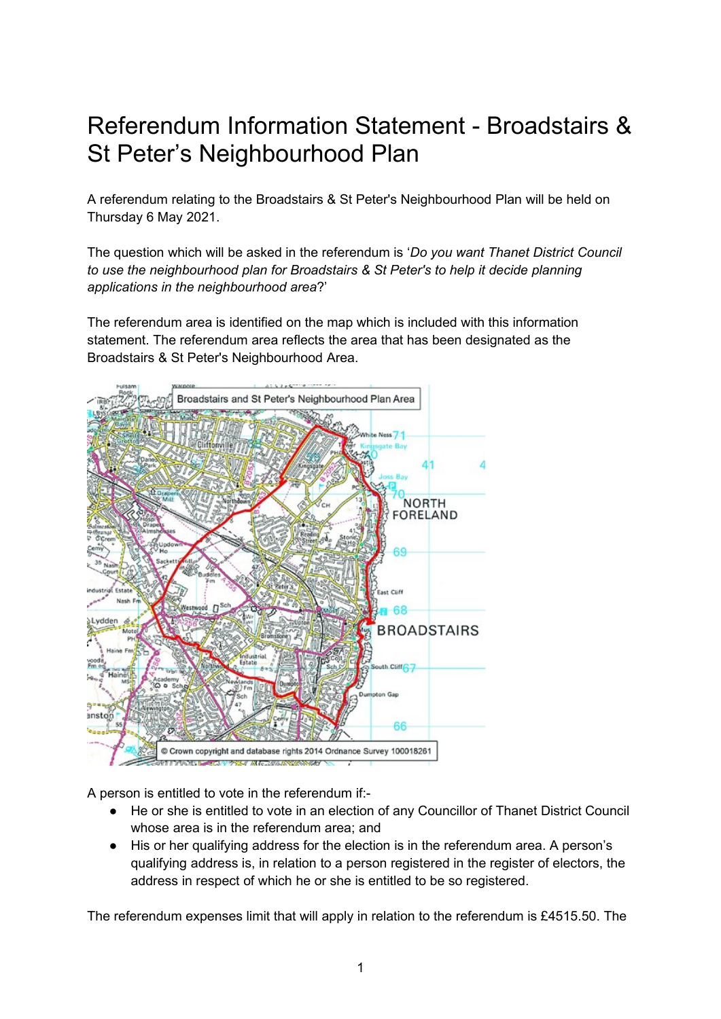## Referendum Information Statement - Broadstairs & St Peter's Neighbourhood Plan

A referendum relating to the Broadstairs & St Peter's Neighbourhood Plan will be held on Thursday 6 May 2021.

The question which will be asked in the referendum is '*Do you want Thanet District Council to use the neighbourhood plan for Broadstairs & St Peter's to help it decide planning applications in the neighbourhood area*?'

The referendum area is identified on the map which is included with this information statement. The referendum area reflects the area that has been designated as the Broadstairs & St Peter's Neighbourhood Area.



A person is entitled to vote in the referendum if:-

- He or she is entitled to vote in an election of any Councillor of Thanet District Council whose area is in the referendum area; and
- His or her qualifying address for the election is in the referendum area. A person's qualifying address is, in relation to a person registered in the register of electors, the address in respect of which he or she is entitled to be so registered.

The referendum expenses limit that will apply in relation to the referendum is £4515.50. The